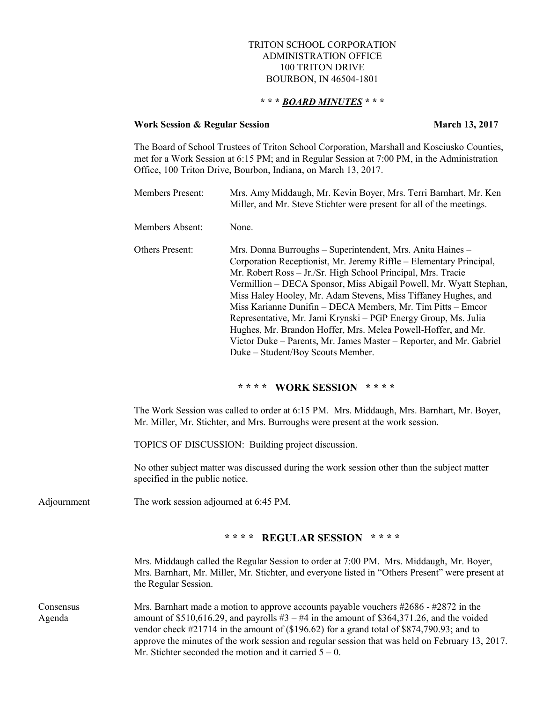## TRITON SCHOOL CORPORATION ADMINISTRATION OFFICE 100 TRITON DRIVE BOURBON, IN 46504-1801

## **\* \* \*** *BOARD MINUTES* **\* \* \***

## **Work Session & Regular Session March 13, 2017**

The Board of School Trustees of Triton School Corporation, Marshall and Kosciusko Counties, met for a Work Session at 6:15 PM; and in Regular Session at 7:00 PM, in the Administration Office, 100 Triton Drive, Bourbon, Indiana, on March 13, 2017.

|                     | Members Present:                                                                                                                                                                                                                                                                                                                                                                          | Mrs. Amy Middaugh, Mr. Kevin Boyer, Mrs. Terri Barnhart, Mr. Ken<br>Miller, and Mr. Steve Stichter were present for all of the meetings.                                                                                                                                                                                                                                                                                                                                                                                                                                                                                                                |  |
|---------------------|-------------------------------------------------------------------------------------------------------------------------------------------------------------------------------------------------------------------------------------------------------------------------------------------------------------------------------------------------------------------------------------------|---------------------------------------------------------------------------------------------------------------------------------------------------------------------------------------------------------------------------------------------------------------------------------------------------------------------------------------------------------------------------------------------------------------------------------------------------------------------------------------------------------------------------------------------------------------------------------------------------------------------------------------------------------|--|
|                     | Members Absent:                                                                                                                                                                                                                                                                                                                                                                           | None.                                                                                                                                                                                                                                                                                                                                                                                                                                                                                                                                                                                                                                                   |  |
|                     | Others Present:                                                                                                                                                                                                                                                                                                                                                                           | Mrs. Donna Burroughs - Superintendent, Mrs. Anita Haines -<br>Corporation Receptionist, Mr. Jeremy Riffle - Elementary Principal,<br>Mr. Robert Ross - Jr./Sr. High School Principal, Mrs. Tracie<br>Vermillion - DECA Sponsor, Miss Abigail Powell, Mr. Wyatt Stephan,<br>Miss Haley Hooley, Mr. Adam Stevens, Miss Tiffaney Hughes, and<br>Miss Karianne Dunifin - DECA Members, Mr. Tim Pitts - Emcor<br>Representative, Mr. Jami Krynski - PGP Energy Group, Ms. Julia<br>Hughes, Mr. Brandon Hoffer, Mrs. Melea Powell-Hoffer, and Mr.<br>Victor Duke - Parents, Mr. James Master - Reporter, and Mr. Gabriel<br>Duke - Student/Boy Scouts Member. |  |
|                     |                                                                                                                                                                                                                                                                                                                                                                                           | **** WORK SESSION ****                                                                                                                                                                                                                                                                                                                                                                                                                                                                                                                                                                                                                                  |  |
|                     | The Work Session was called to order at 6:15 PM. Mrs. Middaugh, Mrs. Barnhart, Mr. Boyer,<br>Mr. Miller, Mr. Stichter, and Mrs. Burroughs were present at the work session.                                                                                                                                                                                                               |                                                                                                                                                                                                                                                                                                                                                                                                                                                                                                                                                                                                                                                         |  |
|                     | TOPICS OF DISCUSSION: Building project discussion.                                                                                                                                                                                                                                                                                                                                        |                                                                                                                                                                                                                                                                                                                                                                                                                                                                                                                                                                                                                                                         |  |
|                     | No other subject matter was discussed during the work session other than the subject matter<br>specified in the public notice.                                                                                                                                                                                                                                                            |                                                                                                                                                                                                                                                                                                                                                                                                                                                                                                                                                                                                                                                         |  |
| Adjournment         | The work session adjourned at 6:45 PM.                                                                                                                                                                                                                                                                                                                                                    |                                                                                                                                                                                                                                                                                                                                                                                                                                                                                                                                                                                                                                                         |  |
|                     |                                                                                                                                                                                                                                                                                                                                                                                           | **** REGULAR SESSION<br>* * * *                                                                                                                                                                                                                                                                                                                                                                                                                                                                                                                                                                                                                         |  |
|                     | the Regular Session.                                                                                                                                                                                                                                                                                                                                                                      | Mrs. Middaugh called the Regular Session to order at 7:00 PM. Mrs. Middaugh, Mr. Boyer,<br>Mrs. Barnhart, Mr. Miller, Mr. Stichter, and everyone listed in "Others Present" were present at                                                                                                                                                                                                                                                                                                                                                                                                                                                             |  |
| Consensus<br>Agenda | Mrs. Barnhart made a motion to approve accounts payable vouchers $\#2686 - \#2872$ in the<br>amount of \$510,616.29, and payrolls $#3 - #4$ in the amount of \$364,371.26, and the voided<br>vendor check #21714 in the amount of (\$196.62) for a grand total of \$874,790.93; and to<br>approve the minutes of the work session and regular session that was held on February 13, 2017. |                                                                                                                                                                                                                                                                                                                                                                                                                                                                                                                                                                                                                                                         |  |

Mr. Stichter seconded the motion and it carried  $5 - 0$ .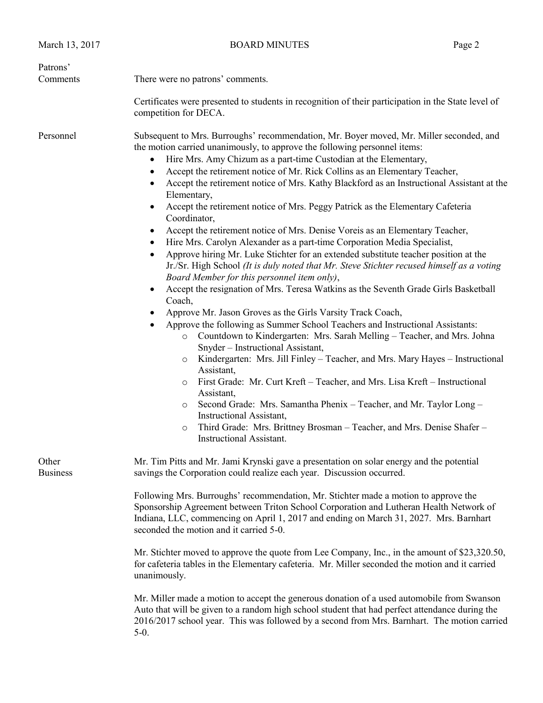| There were no patrons' comments.                                                                                                                                                                                                                                                                                                                                                                                                                                                                                |                                                                                                                                                                                                                                                                                                                                                                                                                                                                                                                                                                                                                                                                                                                                                                                                                                                                                                                                                                                                                                                                                                                                                                                                                                                                                                                                                                                                                                    |  |  |
|-----------------------------------------------------------------------------------------------------------------------------------------------------------------------------------------------------------------------------------------------------------------------------------------------------------------------------------------------------------------------------------------------------------------------------------------------------------------------------------------------------------------|------------------------------------------------------------------------------------------------------------------------------------------------------------------------------------------------------------------------------------------------------------------------------------------------------------------------------------------------------------------------------------------------------------------------------------------------------------------------------------------------------------------------------------------------------------------------------------------------------------------------------------------------------------------------------------------------------------------------------------------------------------------------------------------------------------------------------------------------------------------------------------------------------------------------------------------------------------------------------------------------------------------------------------------------------------------------------------------------------------------------------------------------------------------------------------------------------------------------------------------------------------------------------------------------------------------------------------------------------------------------------------------------------------------------------------|--|--|
|                                                                                                                                                                                                                                                                                                                                                                                                                                                                                                                 |                                                                                                                                                                                                                                                                                                                                                                                                                                                                                                                                                                                                                                                                                                                                                                                                                                                                                                                                                                                                                                                                                                                                                                                                                                                                                                                                                                                                                                    |  |  |
| Certificates were presented to students in recognition of their participation in the State level of<br>competition for DECA.                                                                                                                                                                                                                                                                                                                                                                                    |                                                                                                                                                                                                                                                                                                                                                                                                                                                                                                                                                                                                                                                                                                                                                                                                                                                                                                                                                                                                                                                                                                                                                                                                                                                                                                                                                                                                                                    |  |  |
| Elementary,<br>Coordinator,<br>٠<br>$\bullet$<br>Board Member for this personnel item only),<br>$\bullet$<br>Coach,<br>Approve Mr. Jason Groves as the Girls Varsity Track Coach,<br>٠<br>$\circ$<br>Snyder - Instructional Assistant,<br>$\circ$<br>Assistant,<br>$\circ$<br>Assistant,<br>$\circ$<br>Instructional Assistant,<br>$\circ$<br>Instructional Assistant.                                                                                                                                          |                                                                                                                                                                                                                                                                                                                                                                                                                                                                                                                                                                                                                                                                                                                                                                                                                                                                                                                                                                                                                                                                                                                                                                                                                                                                                                                                                                                                                                    |  |  |
| Mr. Tim Pitts and Mr. Jami Krynski gave a presentation on solar energy and the potential<br>savings the Corporation could realize each year. Discussion occurred.<br>Following Mrs. Burroughs' recommendation, Mr. Stichter made a motion to approve the<br>Sponsorship Agreement between Triton School Corporation and Lutheran Health Network of<br>Indiana, LLC, commencing on April 1, 2017 and ending on March 31, 2027. Mrs. Barnhart<br>seconded the motion and it carried 5-0.                          |                                                                                                                                                                                                                                                                                                                                                                                                                                                                                                                                                                                                                                                                                                                                                                                                                                                                                                                                                                                                                                                                                                                                                                                                                                                                                                                                                                                                                                    |  |  |
| Mr. Stichter moved to approve the quote from Lee Company, Inc., in the amount of \$23,320.50,<br>for cafeteria tables in the Elementary cafeteria. Mr. Miller seconded the motion and it carried<br>unanimously.<br>Mr. Miller made a motion to accept the generous donation of a used automobile from Swanson<br>Auto that will be given to a random high school student that had perfect attendance during the<br>2016/2017 school year. This was followed by a second from Mrs. Barnhart. The motion carried |                                                                                                                                                                                                                                                                                                                                                                                                                                                                                                                                                                                                                                                                                                                                                                                                                                                                                                                                                                                                                                                                                                                                                                                                                                                                                                                                                                                                                                    |  |  |
|                                                                                                                                                                                                                                                                                                                                                                                                                                                                                                                 | Subsequent to Mrs. Burroughs' recommendation, Mr. Boyer moved, Mr. Miller seconded, and<br>the motion carried unanimously, to approve the following personnel items:<br>Hire Mrs. Amy Chizum as a part-time Custodian at the Elementary,<br>Accept the retirement notice of Mr. Rick Collins as an Elementary Teacher,<br>Accept the retirement notice of Mrs. Kathy Blackford as an Instructional Assistant at the<br>Accept the retirement notice of Mrs. Peggy Patrick as the Elementary Cafeteria<br>Accept the retirement notice of Mrs. Denise Voreis as an Elementary Teacher,<br>Hire Mrs. Carolyn Alexander as a part-time Corporation Media Specialist,<br>Approve hiring Mr. Luke Stichter for an extended substitute teacher position at the<br>Jr./Sr. High School (It is duly noted that Mr. Steve Stichter recused himself as a voting<br>Accept the resignation of Mrs. Teresa Watkins as the Seventh Grade Girls Basketball<br>Approve the following as Summer School Teachers and Instructional Assistants:<br>Countdown to Kindergarten: Mrs. Sarah Melling - Teacher, and Mrs. Johna<br>Kindergarten: Mrs. Jill Finley – Teacher, and Mrs. Mary Hayes – Instructional<br>First Grade: Mr. Curt Kreft – Teacher, and Mrs. Lisa Kreft – Instructional<br>Second Grade: Mrs. Samantha Phenix – Teacher, and Mr. Taylor Long –<br>Third Grade: Mrs. Brittney Brosman - Teacher, and Mrs. Denise Shafer -<br>$5-0.$ |  |  |